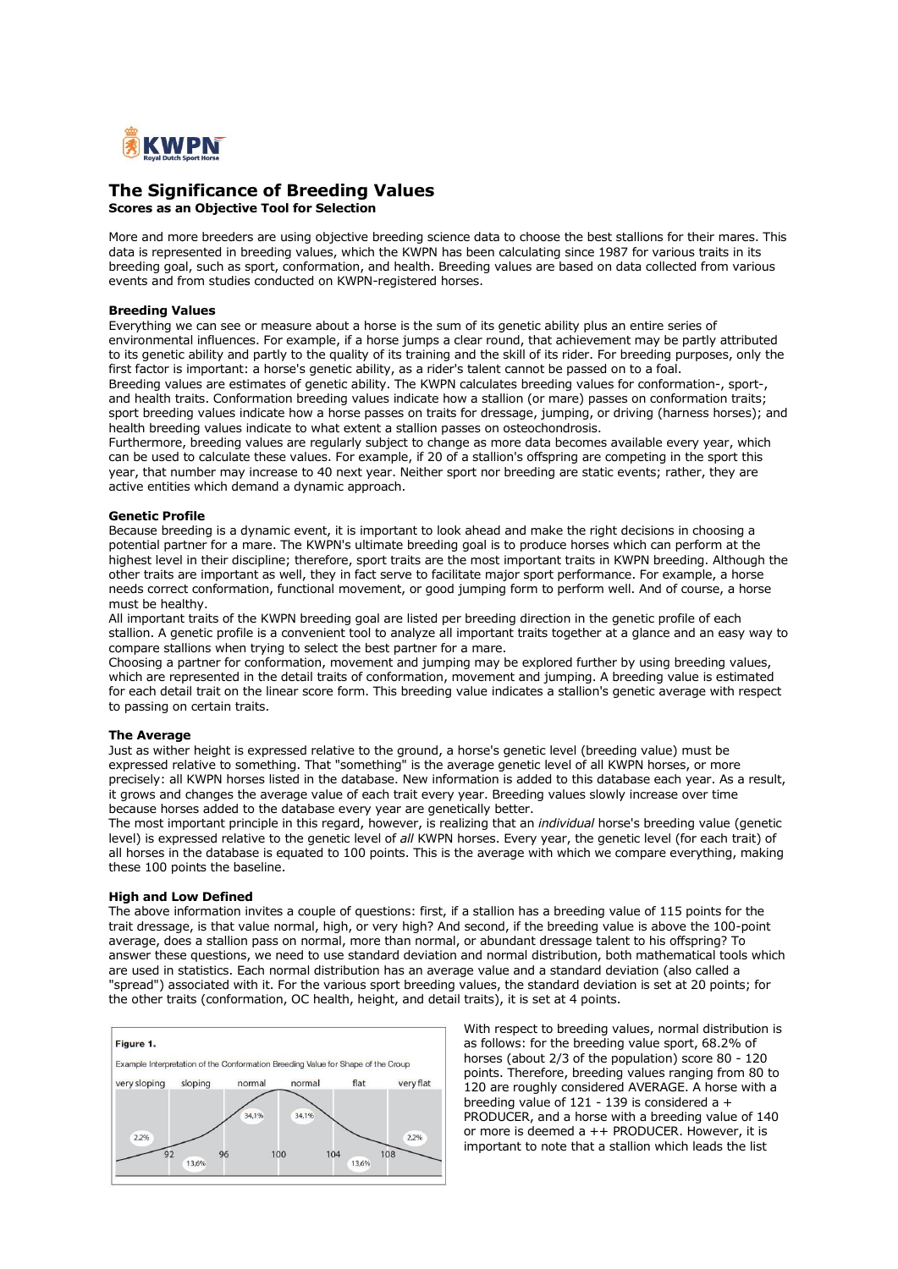

# **The Significance of Breeding Values**

**Scores as an Objective Tool for Selection**

More and more breeders are using objective breeding science data to choose the best stallions for their mares. This data is represented in breeding values, which the KWPN has been calculating since 1987 for various traits in its breeding goal, such as sport, conformation, and health. Breeding values are based on data collected from various events and from studies conducted on KWPN-registered horses.

### **Breeding Values**

Everything we can see or measure about a horse is the sum of its genetic ability plus an entire series of environmental influences. For example, if a horse jumps a clear round, that achievement may be partly attributed to its genetic ability and partly to the quality of its training and the skill of its rider. For breeding purposes, only the first factor is important: a horse's genetic ability, as a rider's talent cannot be passed on to a foal. Breeding values are estimates of genetic ability. The KWPN calculates breeding values for conformation-, sport-, and health traits. Conformation breeding values indicate how a stallion (or mare) passes on conformation traits; sport breeding values indicate how a horse passes on traits for dressage, jumping, or driving (harness horses); and health breeding values indicate to what extent a stallion passes on osteochondrosis.

Furthermore, breeding values are regularly subject to change as more data becomes available every year, which can be used to calculate these values. For example, if 20 of a stallion's offspring are competing in the sport this year, that number may increase to 40 next year. Neither sport nor breeding are static events; rather, they are active entities which demand a dynamic approach.

#### **Genetic Profile**

Because breeding is a dynamic event, it is important to look ahead and make the right decisions in choosing a potential partner for a mare. The KWPN's ultimate breeding goal is to produce horses which can perform at the highest level in their discipline; therefore, sport traits are the most important traits in KWPN breeding. Although the other traits are important as well, they in fact serve to facilitate major sport performance. For example, a horse needs correct conformation, functional movement, or good jumping form to perform well. And of course, a horse must be healthy.

All important traits of the KWPN breeding goal are listed per breeding direction in the genetic profile of each stallion. A genetic profile is a convenient tool to analyze all important traits together at a glance and an easy way to compare stallions when trying to select the best partner for a mare.

Choosing a partner for conformation, movement and jumping may be explored further by using breeding values, which are represented in the detail traits of conformation, movement and jumping. A breeding value is estimated for each detail trait on the linear score form. This breeding value indicates a stallion's genetic average with respect to passing on certain traits.

## **The Average**

Just as wither height is expressed relative to the ground, a horse's genetic level (breeding value) must be expressed relative to something. That "something" is the average genetic level of all KWPN horses, or more precisely: all KWPN horses listed in the database. New information is added to this database each year. As a result, it grows and changes the average value of each trait every year. Breeding values slowly increase over time because horses added to the database every year are genetically better.

The most important principle in this regard, however, is realizing that an *individual* horse's breeding value (genetic level) is expressed relative to the genetic level of *all* KWPN horses. Every year, the genetic level (for each trait) of all horses in the database is equated to 100 points. This is the average with which we compare everything, making these 100 points the baseline.

#### **High and Low Defined**

The above information invites a couple of questions: first, if a stallion has a breeding value of 115 points for the trait dressage, is that value normal, high, or very high? And second, if the breeding value is above the 100-point average, does a stallion pass on normal, more than normal, or abundant dressage talent to his offspring? To answer these questions, we need to use standard deviation and normal distribution, both mathematical tools which are used in statistics. Each normal distribution has an average value and a standard deviation (also called a "spread") associated with it. For the various sport breeding values, the standard deviation is set at 20 points; for the other traits (conformation, OC health, height, and detail traits), it is set at 4 points.



With respect to breeding values, normal distribution is as follows: for the breeding value sport, 68.2% of horses (about 2/3 of the population) score 80 - 120 points. Therefore, breeding values ranging from 80 to 120 are roughly considered AVERAGE. A horse with a breeding value of 121 - 139 is considered a  $+$ PRODUCER, and a horse with a breeding value of 140 or more is deemed a ++ PRODUCER. However, it is important to note that a stallion which leads the list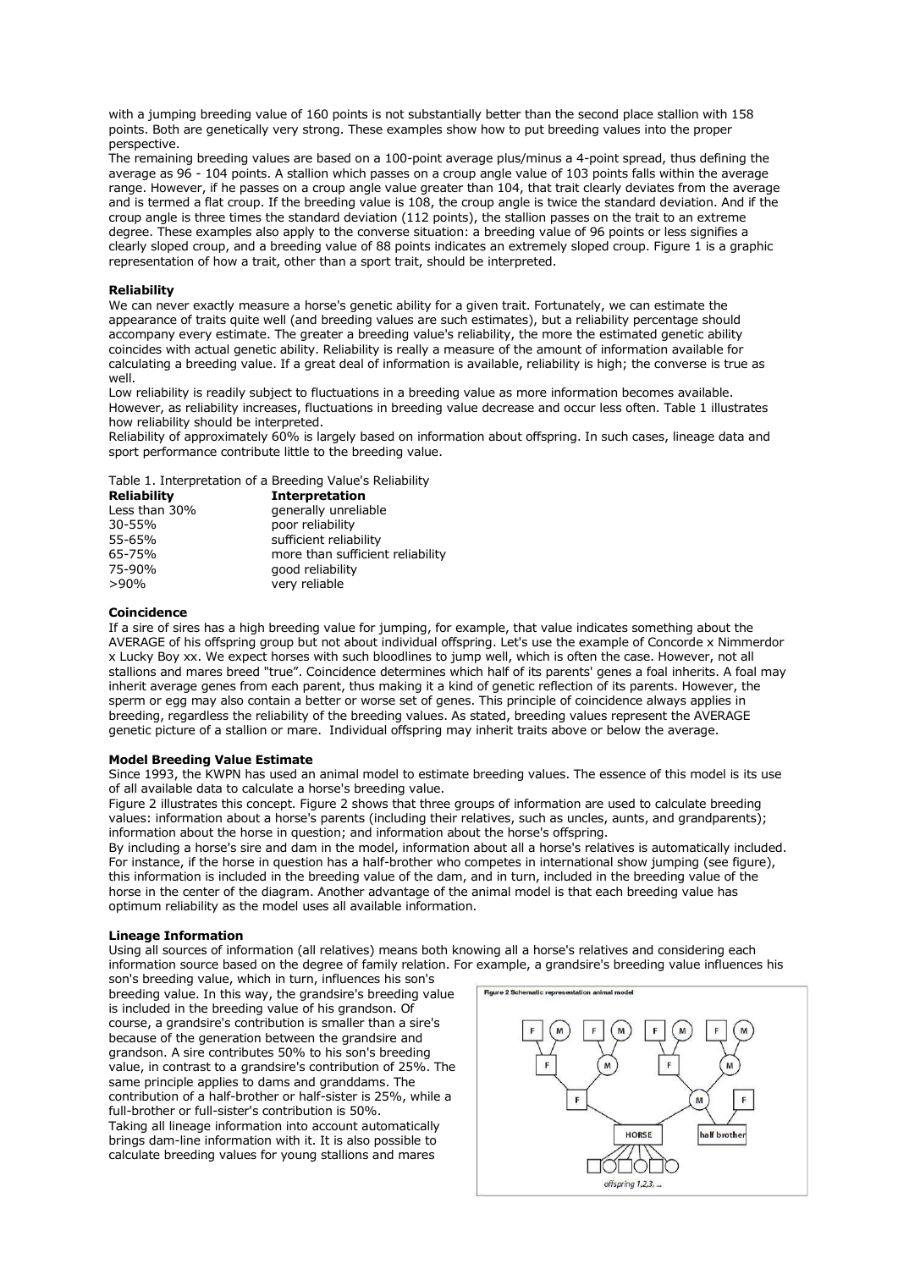with a jumping breeding value of 160 points is not substantially better than the second place stallion with 158 points. Both are genetically very strong. These examples show how to put breeding values into the proper perspective.

The remaining breeding values are based on a 100-point average plus/minus a 4-point spread, thus defining the average as 96 - 104 points. A stallion which passes on a croup angle value of 103 points falls within the average range. However, if he passes on a croup angle value greater than 104, that trait clearly deviates from the average and is termed a flat croup. If the breeding value is 108, the croup angle is twice the standard deviation. And if the croup angle is three times the standard deviation (112 points), the stallion passes on the trait to an extreme degree. These examples also apply to the converse situation: a breeding value of 96 points or less signifies a clearly sloped croup, and a breeding value of 88 points indicates an extremely sloped croup. Figure 1 is a graphic representation of how a trait, other than a sport trait, should be interpreted.

## **Reliability**

We can never exactly measure a horse's genetic ability for a given trait. Fortunately, we can estimate the appearance of traits quite well (and breeding values are such estimates), but a reliability percentage should accompany every estimate. The greater a breeding value's reliability, the more the estimated genetic ability coincides with actual genetic ability. Reliability is really a measure of the amount of information available for calculating a breeding value. If a great deal of information is available, reliability is high; the converse is true as well.

Low reliability is readily subject to fluctuations in a breeding value as more information becomes available. However, as reliability increases, fluctuations in breeding value decrease and occur less often. Table 1 illustrates how reliability should be interpreted.

Reliability of approximately 60% is largely based on information about offspring. In such cases, lineage data and sport performance contribute little to the breeding value.

#### Table 1. Interpretation of a Breeding Value's Reliability

| Reliability   | <b>Interpretation</b>            |
|---------------|----------------------------------|
| Less than 30% | generally unreliable             |
| 30-55%        | poor reliability                 |
| 55-65%        | sufficient reliability           |
| 65-75%        | more than sufficient reliability |
| 75-90%        | good reliability                 |
| $>90\%$       | very reliable                    |

#### **Coincidence**

If a sire of sires has a high breeding value for jumping, for example, that value indicates something about the AVERAGE of his offspring group but not about individual offspring. Let's use the example of Concorde x Nimmerdor x Lucky Boy xx. We expect horses with such bloodlines to jump well, which is often the case. However, not all stallions and mares breed "true". Coincidence determines which half of its parents' genes a foal inherits. A foal may inherit average genes from each parent, thus making it a kind of genetic reflection of its parents. However, the sperm or egg may also contain a better or worse set of genes. This principle of coincidence always applies in breeding, regardless the reliability of the breeding values. As stated, breeding values represent the AVERAGE genetic picture of a stallion or mare. Individual offspring may inherit traits above or below the average.

#### **Model Breeding Value Estimate**

Since 1993, the KWPN has used an animal model to estimate breeding values. The essence of this model is its use of all available data to calculate a horse's breeding value.

Figure 2 illustrates this concept. Figure 2 shows that three groups of information are used to calculate breeding values: information about a horse's parents (including their relatives, such as uncles, aunts, and grandparents); information about the horse in question; and information about the horse's offspring.

By including a horse's sire and dam in the model, information about all a horse's relatives is automatically included. For instance, if the horse in question has a half-brother who competes in international show jumping (see figure), this information is included in the breeding value of the dam, and in turn, included in the breeding value of the horse in the center of the diagram. Another advantage of the animal model is that each breeding value has optimum reliability as the model uses all available information.

### **Lineage Information**

Using all sources of information (all relatives) means both knowing all a horse's relatives and considering each information source based on the degree of family relation. For example, a grandsire's breeding value influences his

son's breeding value, which in turn, influences his son's breeding value. In this way, the grandsire's breeding value is included in the breeding value of his grandson. Of course, a grandsire's contribution is smaller than a sire's because of the generation between the grandsire and grandson. A sire contributes 50% to his son's breeding value, in contrast to a grandsire's contribution of 25%. The same principle applies to dams and granddams. The contribution of a half-brother or half-sister is 25%, while a full-brother or full-sister's contribution is 50%. Taking all lineage information into account automatically brings dam-line information with it. It is also possible to calculate breeding values for young stallions and mares

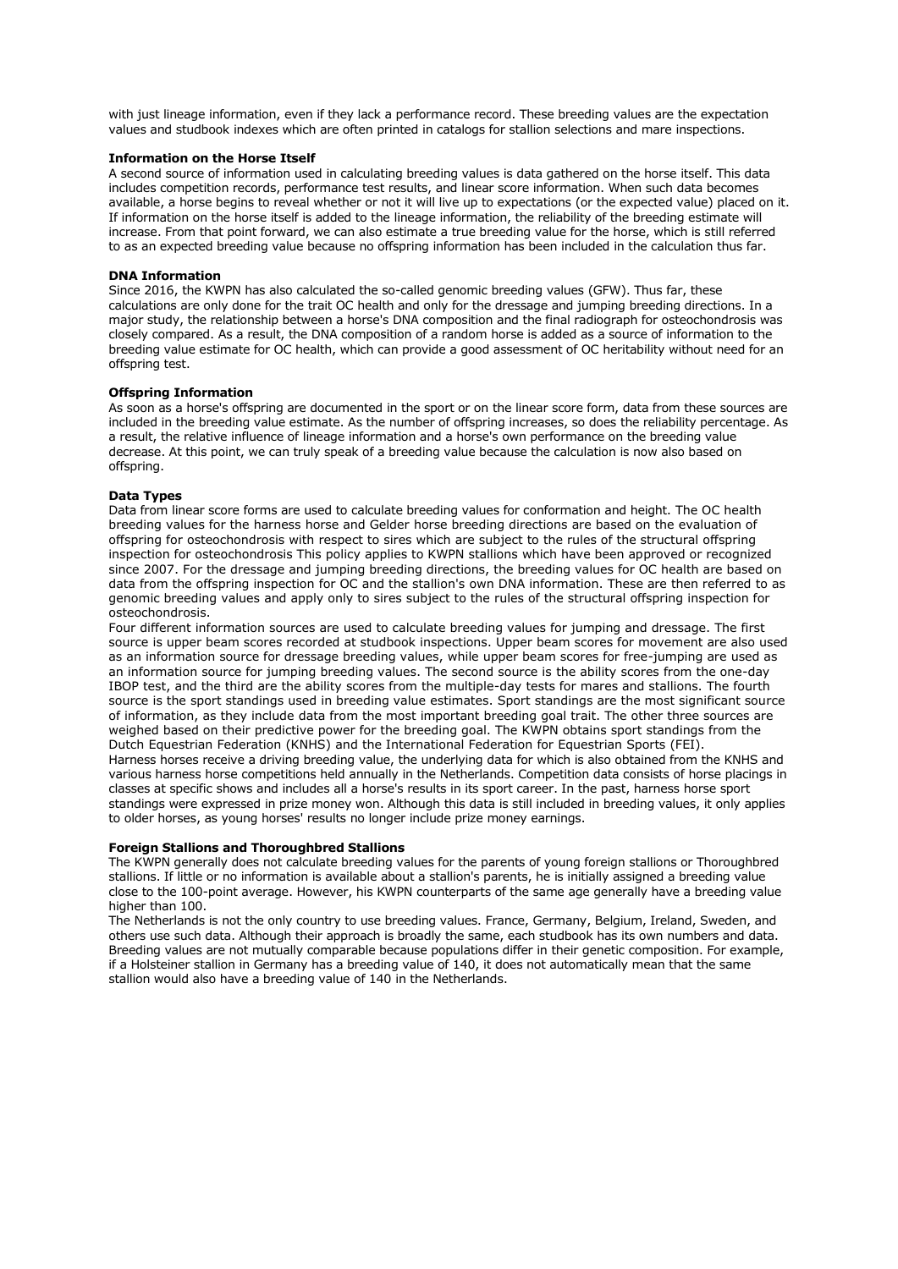with just lineage information, even if they lack a performance record. These breeding values are the expectation values and studbook indexes which are often printed in catalogs for stallion selections and mare inspections.

### **Information on the Horse Itself**

A second source of information used in calculating breeding values is data gathered on the horse itself. This data includes competition records, performance test results, and linear score information. When such data becomes available, a horse begins to reveal whether or not it will live up to expectations (or the expected value) placed on it. If information on the horse itself is added to the lineage information, the reliability of the breeding estimate will increase. From that point forward, we can also estimate a true breeding value for the horse, which is still referred to as an expected breeding value because no offspring information has been included in the calculation thus far.

#### **DNA Information**

Since 2016, the KWPN has also calculated the so-called genomic breeding values (GFW). Thus far, these calculations are only done for the trait OC health and only for the dressage and jumping breeding directions. In a major study, the relationship between a horse's DNA composition and the final radiograph for osteochondrosis was closely compared. As a result, the DNA composition of a random horse is added as a source of information to the breeding value estimate for OC health, which can provide a good assessment of OC heritability without need for an offspring test.

#### **Offspring Information**

As soon as a horse's offspring are documented in the sport or on the linear score form, data from these sources are included in the breeding value estimate. As the number of offspring increases, so does the reliability percentage. As a result, the relative influence of lineage information and a horse's own performance on the breeding value decrease. At this point, we can truly speak of a breeding value because the calculation is now also based on offspring.

### **Data Types**

Data from linear score forms are used to calculate breeding values for conformation and height. The OC health breeding values for the harness horse and Gelder horse breeding directions are based on the evaluation of offspring for osteochondrosis with respect to sires which are subject to the rules of the structural offspring inspection for osteochondrosis This policy applies to KWPN stallions which have been approved or recognized since 2007. For the dressage and jumping breeding directions, the breeding values for OC health are based on data from the offspring inspection for OC and the stallion's own DNA information. These are then referred to as genomic breeding values and apply only to sires subject to the rules of the structural offspring inspection for osteochondrosis.

Four different information sources are used to calculate breeding values for jumping and dressage. The first source is upper beam scores recorded at studbook inspections. Upper beam scores for movement are also used as an information source for dressage breeding values, while upper beam scores for free-jumping are used as an information source for jumping breeding values. The second source is the ability scores from the one-day IBOP test, and the third are the ability scores from the multiple-day tests for mares and stallions. The fourth source is the sport standings used in breeding value estimates. Sport standings are the most significant source of information, as they include data from the most important breeding goal trait. The other three sources are weighed based on their predictive power for the breeding goal. The KWPN obtains sport standings from the Dutch Equestrian Federation (KNHS) and the International Federation for Equestrian Sports (FEI). Harness horses receive a driving breeding value, the underlying data for which is also obtained from the KNHS and various harness horse competitions held annually in the Netherlands. Competition data consists of horse placings in classes at specific shows and includes all a horse's results in its sport career. In the past, harness horse sport standings were expressed in prize money won. Although this data is still included in breeding values, it only applies to older horses, as young horses' results no longer include prize money earnings.

#### **Foreign Stallions and Thoroughbred Stallions**

The KWPN generally does not calculate breeding values for the parents of young foreign stallions or Thoroughbred stallions. If little or no information is available about a stallion's parents, he is initially assigned a breeding value close to the 100-point average. However, his KWPN counterparts of the same age generally have a breeding value higher than 100.

The Netherlands is not the only country to use breeding values. France, Germany, Belgium, Ireland, Sweden, and others use such data. Although their approach is broadly the same, each studbook has its own numbers and data. Breeding values are not mutually comparable because populations differ in their genetic composition. For example, if a Holsteiner stallion in Germany has a breeding value of 140, it does not automatically mean that the same stallion would also have a breeding value of 140 in the Netherlands.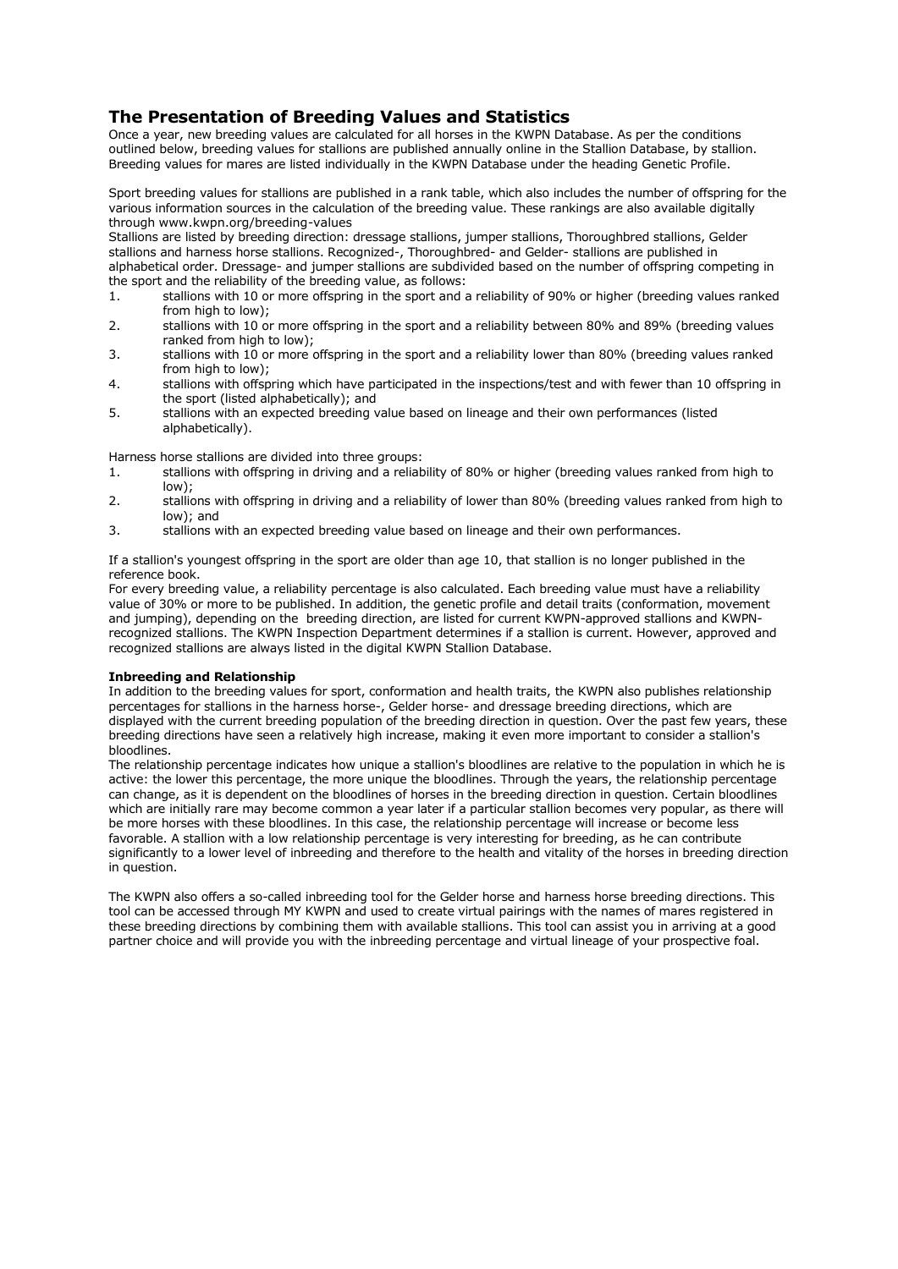# **The Presentation of Breeding Values and Statistics**

Once a year, new breeding values are calculated for all horses in the KWPN Database. As per the conditions outlined below, breeding values for stallions are published annually online in the Stallion Database, by stallion. Breeding values for mares are listed individually in the KWPN Database under the heading Genetic Profile.

Sport breeding values for stallions are published in a rank table, which also includes the number of offspring for the various information sources in the calculation of the breeding value. These rankings are also available digitally through www.kwpn.org/breeding-values

Stallions are listed by breeding direction: dressage stallions, jumper stallions, Thoroughbred stallions, Gelder stallions and harness horse stallions. Recognized-, Thoroughbred- and Gelder- stallions are published in

alphabetical order. Dressage- and jumper stallions are subdivided based on the number of offspring competing in the sport and the reliability of the breeding value, as follows:

- 1. stallions with 10 or more offspring in the sport and a reliability of 90% or higher (breeding values ranked from high to low):
- 2. stallions with 10 or more offspring in the sport and a reliability between 80% and 89% (breeding values ranked from high to low);
- 3. stallions with 10 or more offspring in the sport and a reliability lower than 80% (breeding values ranked from high to low);
- 4. stallions with offspring which have participated in the inspections/test and with fewer than 10 offspring in the sport (listed alphabetically); and
- 5. stallions with an expected breeding value based on lineage and their own performances (listed alphabetically).

Harness horse stallions are divided into three groups:

- 1. stallions with offspring in driving and a reliability of 80% or higher (breeding values ranked from high to low);
- 2. stallions with offspring in driving and a reliability of lower than 80% (breeding values ranked from high to low); and
- 3. stallions with an expected breeding value based on lineage and their own performances.

If a stallion's youngest offspring in the sport are older than age 10, that stallion is no longer published in the reference book.

For every breeding value, a reliability percentage is also calculated. Each breeding value must have a reliability value of 30% or more to be published. In addition, the genetic profile and detail traits (conformation, movement and jumping), depending on the breeding direction, are listed for current KWPN-approved stallions and KWPNrecognized stallions. The KWPN Inspection Department determines if a stallion is current. However, approved and recognized stallions are always listed in the digital KWPN Stallion Database.

# **Inbreeding and Relationship**

In addition to the breeding values for sport, conformation and health traits, the KWPN also publishes relationship percentages for stallions in the harness horse-, Gelder horse- and dressage breeding directions, which are displayed with the current breeding population of the breeding direction in question. Over the past few years, these breeding directions have seen a relatively high increase, making it even more important to consider a stallion's bloodlines.

The relationship percentage indicates how unique a stallion's bloodlines are relative to the population in which he is active: the lower this percentage, the more unique the bloodlines. Through the years, the relationship percentage can change, as it is dependent on the bloodlines of horses in the breeding direction in question. Certain bloodlines which are initially rare may become common a year later if a particular stallion becomes very popular, as there will be more horses with these bloodlines. In this case, the relationship percentage will increase or become less favorable. A stallion with a low relationship percentage is very interesting for breeding, as he can contribute significantly to a lower level of inbreeding and therefore to the health and vitality of the horses in breeding direction in question.

The KWPN also offers a so-called inbreeding tool for the Gelder horse and harness horse breeding directions. This tool can be accessed through MY KWPN and used to create virtual pairings with the names of mares registered in these breeding directions by combining them with available stallions. This tool can assist you in arriving at a good partner choice and will provide you with the inbreeding percentage and virtual lineage of your prospective foal.